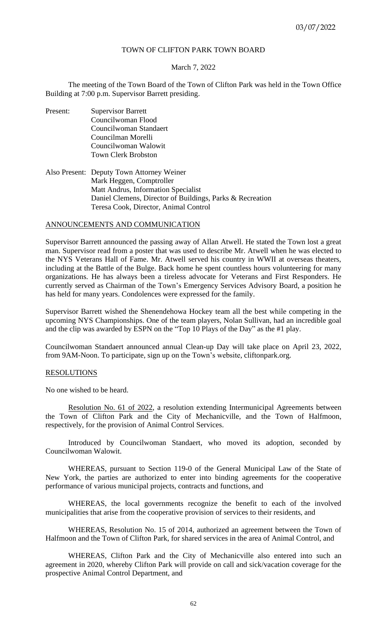# TOWN OF CLIFTON PARK TOWN BOARD

## March 7, 2022

The meeting of the Town Board of the Town of Clifton Park was held in the Town Office Building at 7:00 p.m. Supervisor Barrett presiding.

- Present: Supervisor Barrett Councilwoman Flood Councilwoman Standaert Councilman Morelli Councilwoman Walowit Town Clerk Brobston
- Also Present: Deputy Town Attorney Weiner Mark Heggen, Comptroller Matt Andrus, Information Specialist Daniel Clemens, Director of Buildings, Parks & Recreation Teresa Cook, Director, Animal Control

# ANNOUNCEMENTS AND COMMUNICATION

Supervisor Barrett announced the passing away of Allan Atwell. He stated the Town lost a great man. Supervisor read from a poster that was used to describe Mr. Atwell when he was elected to the NYS Veterans Hall of Fame. Mr. Atwell served his country in WWII at overseas theaters, including at the Battle of the Bulge. Back home he spent countless hours volunteering for many organizations. He has always been a tireless advocate for Veterans and First Responders. He currently served as Chairman of the Town's Emergency Services Advisory Board, a position he has held for many years. Condolences were expressed for the family.

Supervisor Barrett wished the Shenendehowa Hockey team all the best while competing in the upcoming NYS Championships. One of the team players, Nolan Sullivan, had an incredible goal and the clip was awarded by ESPN on the "Top 10 Plays of the Day" as the #1 play.

Councilwoman Standaert announced annual Clean-up Day will take place on April 23, 2022, from 9AM-Noon. To participate, sign up on the Town's website, cliftonpark.org.

## RESOLUTIONS

No one wished to be heard.

Resolution No. 61 of 2022, a resolution extending Intermunicipal Agreements between the Town of Clifton Park and the City of Mechanicville, and the Town of Halfmoon, respectively, for the provision of Animal Control Services.

Introduced by Councilwoman Standaert, who moved its adoption, seconded by Councilwoman Walowit.

WHEREAS, pursuant to Section 119-0 of the General Municipal Law of the State of New York, the parties are authorized to enter into binding agreements for the cooperative performance of various municipal projects, contracts and functions, and

WHEREAS, the local governments recognize the benefit to each of the involved municipalities that arise from the cooperative provision of services to their residents, and

WHEREAS, Resolution No. 15 of 2014, authorized an agreement between the Town of Halfmoon and the Town of Clifton Park, for shared services in the area of Animal Control, and

WHEREAS, Clifton Park and the City of Mechanicville also entered into such an agreement in 2020, whereby Clifton Park will provide on call and sick/vacation coverage for the prospective Animal Control Department, and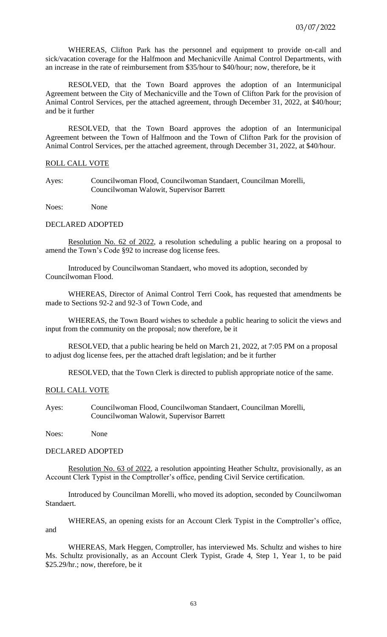WHEREAS, Clifton Park has the personnel and equipment to provide on-call and sick/vacation coverage for the Halfmoon and Mechanicville Animal Control Departments, with an increase in the rate of reimbursement from \$35/hour to \$40/hour; now, therefore, be it

RESOLVED, that the Town Board approves the adoption of an Intermunicipal Agreement between the City of Mechanicville and the Town of Clifton Park for the provision of Animal Control Services, per the attached agreement, through December 31, 2022, at \$40/hour; and be it further

RESOLVED, that the Town Board approves the adoption of an Intermunicipal Agreement between the Town of Halfmoon and the Town of Clifton Park for the provision of Animal Control Services, per the attached agreement, through December 31, 2022, at \$40/hour.

### ROLL CALL VOTE

Ayes: Councilwoman Flood, Councilwoman Standaert, Councilman Morelli, Councilwoman Walowit, Supervisor Barrett

Noes: None

# DECLARED ADOPTED

Resolution No. 62 of 2022, a resolution scheduling a public hearing on a proposal to amend the Town's Code §92 to increase dog license fees.

Introduced by Councilwoman Standaert, who moved its adoption, seconded by Councilwoman Flood.

WHEREAS, Director of Animal Control Terri Cook, has requested that amendments be made to Sections 92-2 and 92-3 of Town Code, and

WHEREAS, the Town Board wishes to schedule a public hearing to solicit the views and input from the community on the proposal; now therefore, be it

RESOLVED, that a public hearing be held on March 21, 2022, at 7:05 PM on a proposal to adjust dog license fees, per the attached draft legislation; and be it further

RESOLVED, that the Town Clerk is directed to publish appropriate notice of the same.

## ROLL CALL VOTE

Ayes: Councilwoman Flood, Councilwoman Standaert, Councilman Morelli, Councilwoman Walowit, Supervisor Barrett

Noes: None

### DECLARED ADOPTED

Resolution No. 63 of 2022, a resolution appointing Heather Schultz, provisionally, as an Account Clerk Typist in the Comptroller's office, pending Civil Service certification.

Introduced by Councilman Morelli, who moved its adoption, seconded by Councilwoman Standaert.

WHEREAS, an opening exists for an Account Clerk Typist in the Comptroller's office, and

WHEREAS, Mark Heggen, Comptroller, has interviewed Ms. Schultz and wishes to hire Ms. Schultz provisionally, as an Account Clerk Typist, Grade 4, Step 1, Year 1, to be paid \$25.29/hr.; now, therefore, be it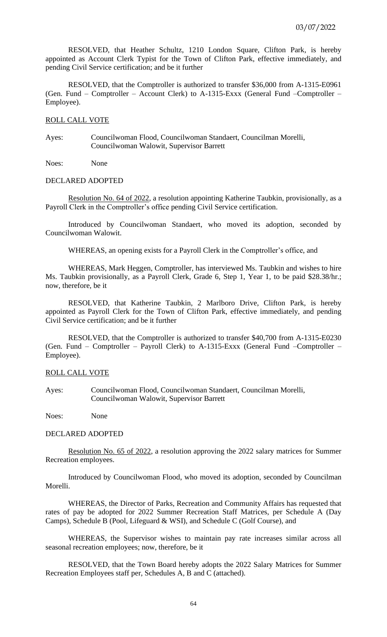RESOLVED, that Heather Schultz, 1210 London Square, Clifton Park, is hereby appointed as Account Clerk Typist for the Town of Clifton Park, effective immediately, and pending Civil Service certification; and be it further

RESOLVED, that the Comptroller is authorized to transfer \$36,000 from A-1315-E0961 (Gen. Fund – Comptroller – Account Clerk) to A-1315-Exxx (General Fund –Comptroller – Employee).

# ROLL CALL VOTE

Ayes: Councilwoman Flood, Councilwoman Standaert, Councilman Morelli, Councilwoman Walowit, Supervisor Barrett

Noes: None

#### DECLARED ADOPTED

Resolution No. 64 of 2022, a resolution appointing Katherine Taubkin, provisionally, as a Payroll Clerk in the Comptroller's office pending Civil Service certification.

Introduced by Councilwoman Standaert, who moved its adoption, seconded by Councilwoman Walowit.

WHEREAS, an opening exists for a Payroll Clerk in the Comptroller's office, and

WHEREAS, Mark Heggen, Comptroller, has interviewed Ms. Taubkin and wishes to hire Ms. Taubkin provisionally, as a Payroll Clerk, Grade 6, Step 1, Year 1, to be paid \$28.38/hr.; now, therefore, be it

RESOLVED, that Katherine Taubkin, 2 Marlboro Drive, Clifton Park, is hereby appointed as Payroll Clerk for the Town of Clifton Park, effective immediately, and pending Civil Service certification; and be it further

RESOLVED, that the Comptroller is authorized to transfer \$40,700 from A-1315-E0230 (Gen. Fund – Comptroller – Payroll Clerk) to A-1315-Exxx (General Fund –Comptroller – Employee).

#### ROLL CALL VOTE

Ayes: Councilwoman Flood, Councilwoman Standaert, Councilman Morelli, Councilwoman Walowit, Supervisor Barrett

Noes: None

#### DECLARED ADOPTED

Resolution No. 65 of 2022, a resolution approving the 2022 salary matrices for Summer Recreation employees.

Introduced by Councilwoman Flood, who moved its adoption, seconded by Councilman Morelli.

WHEREAS, the Director of Parks, Recreation and Community Affairs has requested that rates of pay be adopted for 2022 Summer Recreation Staff Matrices, per Schedule A (Day Camps), Schedule B (Pool, Lifeguard & WSI), and Schedule C (Golf Course), and

WHEREAS, the Supervisor wishes to maintain pay rate increases similar across all seasonal recreation employees; now, therefore, be it

RESOLVED, that the Town Board hereby adopts the 2022 Salary Matrices for Summer Recreation Employees staff per, Schedules A, B and C (attached).